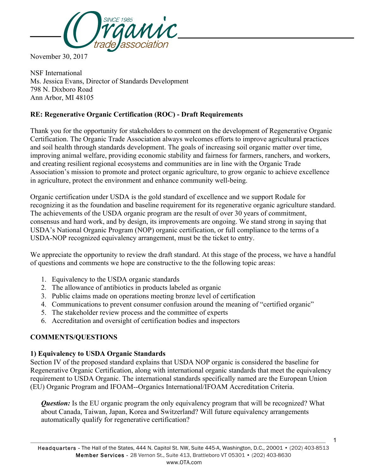

November 30, 2017

NSF International Ms. Jessica Evans, Director of Standards Development 798 N. Dixboro Road Ann Arbor, MI 48105

# **RE: Regenerative Organic Certification (ROC) - Draft Requirements**

Thank you for the opportunity for stakeholders to comment on the development of Regenerative Organic Certification. The Organic Trade Association always welcomes efforts to improve agricultural practices and soil health through standards development. The goals of increasing soil organic matter over time, improving animal welfare, providing economic stability and fairness for farmers, ranchers, and workers, and creating resilient regional ecosystems and communities are in line with the Organic Trade Association's mission to promote and protect organic agriculture, to grow organic to achieve excellence in agriculture, protect the environment and enhance community well-being.

Organic certification under USDA is the gold standard of excellence and we support Rodale for recognizing it as the foundation and baseline requirement for its regenerative organic agriculture standard. The achievements of the USDA organic program are the result of over 30 years of commitment, consensus and hard work, and by design, its improvements are ongoing. We stand strong in saying that USDA's National Organic Program (NOP) organic certification, or full compliance to the terms of a USDA-NOP recognized equivalency arrangement, must be the ticket to entry.

We appreciate the opportunity to review the draft standard. At this stage of the process, we have a handful of questions and comments we hope are constructive to the the following topic areas:

- 1. Equivalency to the USDA organic standards
- 2. The allowance of antibiotics in products labeled as organic
- 3. Public claims made on operations meeting bronze level of certification
- 4. Communications to prevent consumer confusion around the meaning of "certified organic"
- 5. The stakeholder review process and the committee of experts
- 6. Accreditation and oversight of certification bodies and inspectors

# **COMMENTS/QUESTIONS**

### **1) Equivalency to USDA Organic Standards**

Section IV of the proposed standard explains that USDA NOP organic is considered the baseline for Regenerative Organic Certification, along with international organic standards that meet the equivalency requirement to USDA Organic. The international standards specifically named are the European Union (EU) Organic Program and IFOAM--Organics International/IFOAM Accreditation Criteria.

*Question:* Is the EU organic program the only equivalency program that will be recognized? What about Canada, Taiwan, Japan, Korea and Switzerland? Will future equivalency arrangements automatically qualify for regenerative certification?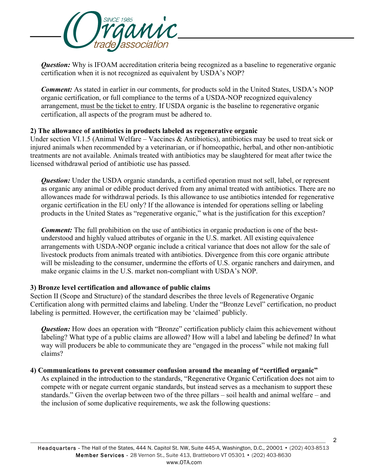

*Question:* Why is IFOAM accreditation criteria being recognized as a baseline to regenerative organic certification when it is not recognized as equivalent by USDA's NOP?

*Comment:* As stated in earlier in our comments, for products sold in the United States, USDA's NOP organic certification, or full compliance to the terms of a USDA-NOP recognized equivalency arrangement, must be the ticket to entry. If USDA organic is the baseline to regenerative organic certification, all aspects of the program must be adhered to.

### **2) The allowance of antibiotics in products labeled as regenerative organic**

Under section VI.1.5 (Animal Welfare – Vaccines & Antibiotics), antibiotics may be used to treat sick or injured animals when recommended by a veterinarian, or if homeopathic, herbal, and other non-antibiotic treatments are not available. Animals treated with antibiotics may be slaughtered for meat after twice the licensed withdrawal period of antibiotic use has passed.

*Question:* Under the USDA organic standards, a certified operation must not sell, label, or represent as organic any animal or edible product derived from any animal treated with antibiotics. There are no allowances made for withdrawal periods. Is this allowance to use antibiotics intended for regenerative organic certification in the EU only? If the allowance is intended for operations selling or labeling products in the United States as "regenerative organic," what is the justification for this exception?

*Comment:* The full prohibition on the use of antibiotics in organic production is one of the bestunderstood and highly valued attributes of organic in the U.S. market. All existing equivalence arrangements with USDA-NOP organic include a critical variance that does not allow for the sale of livestock products from animals treated with antibiotics. Divergence from this core organic attribute will be misleading to the consumer, undermine the efforts of U.S. organic ranchers and dairymen, and make organic claims in the U.S. market non-compliant with USDA's NOP.

### **3) Bronze level certification and allowance of public claims**

Section II (Scope and Structure) of the standard describes the three levels of Regenerative Organic Certification along with permitted claims and labeling. Under the "Bronze Level" certification, no product labeling is permitted. However, the certification may be 'claimed' publicly.

**Question:** How does an operation with "Bronze" certification publicly claim this achievement without labeling? What type of a public claims are allowed? How will a label and labeling be defined? In what way will producers be able to communicate they are "engaged in the process" while not making full claims?

### **4) Communications to prevent consumer confusion around the meaning of "certified organic"**

As explained in the introduction to the standards, "Regenerative Organic Certification does not aim to compete with or negate current organic standards, but instead serves as a mechanism to support these standards." Given the overlap between two of the three pillars – soil health and animal welfare – and the inclusion of some duplicative requirements, we ask the following questions: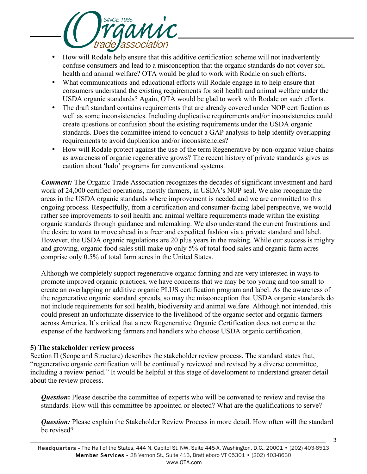

- How will Rodale help ensure that this additive certification scheme will not inadvertently confuse consumers and lead to a misconception that the organic standards do not cover soil health and animal welfare? OTA would be glad to work with Rodale on such efforts.
- What communications and educational efforts will Rodale engage in to help ensure that consumers understand the existing requirements for soil health and animal welfare under the USDA organic standards? Again, OTA would be glad to work with Rodale on such efforts.
- The draft standard contains requirements that are already covered under NOP certification as well as some inconsistencies. Including duplicative requirements and/or inconsistencies could create questions or confusion about the existing requirements under the USDA organic standards. Does the committee intend to conduct a GAP analysis to help identify overlapping requirements to avoid duplication and/or inconsistencies?
- How will Rodale protect against the use of the term Regenerative by non-organic value chains as awareness of organic regenerative grows? The recent history of private standards gives us caution about 'halo' programs for conventional systems.

*Comment:* The Organic Trade Association recognizes the decades of significant investment and hard work of 24,000 certified operations, mostly farmers, in USDA's NOP seal. We also recognize the areas in the USDA organic standards where improvement is needed and we are committed to this ongoing process. Respectfully, from a certification and consumer-facing label perspective, we would rather see improvements to soil health and animal welfare requirements made within the existing organic standards through guidance and rulemaking. We also understand the current frustrations and the desire to want to move ahead in a freer and expedited fashion via a private standard and label. However, the USDA organic regulations are 20 plus years in the making. While our success is mighty and growing, organic food sales still make up only 5% of total food sales and organic farm acres comprise only 0.5% of total farm acres in the United States.

Although we completely support regenerative organic farming and are very interested in ways to promote improved organic practices, we have concerns that we may be too young and too small to create an overlapping or additive organic PLUS certification program and label. As the awareness of the regenerative organic standard spreads, so may the misconception that USDA organic standards do not include requirements for soil health, biodiversity and animal welfare. Although not intended, this could present an unfortunate disservice to the livelihood of the organic sector and organic farmers across America. It's critical that a new Regenerative Organic Certification does not come at the expense of the hardworking farmers and handlers who choose USDA organic certification.

### **5) The stakeholder review process**

Section II (Scope and Structure) describes the stakeholder review process. The standard states that, "regenerative organic certification will be continually reviewed and revised by a diverse committee, including a review period." It would be helpful at this stage of development to understand greater detail about the review process.

*Question*: Please describe the committee of experts who will be convened to review and revise the standards. How will this committee be appointed or elected? What are the qualifications to serve?

*Question:* Please explain the Stakeholder Review Process in more detail. How often will the standard be revised?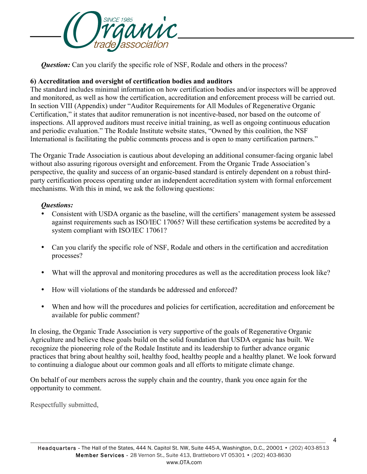

**Question:** Can you clarify the specific role of NSF, Rodale and others in the process?

# **6) Accreditation and oversight of certification bodies and auditors**

The standard includes minimal information on how certification bodies and/or inspectors will be approved and monitored, as well as how the certification, accreditation and enforcement process will be carried out. In section VIII (Appendix) under "Auditor Requirements for All Modules of Regenerative Organic Certification," it states that auditor remuneration is not incentive-based, nor based on the outcome of inspections. All approved auditors must receive initial training, as well as ongoing continuous education and periodic evaluation." The Rodale Institute website states, "Owned by this coalition, the NSF International is facilitating the public comments process and is open to many certification partners."

The Organic Trade Association is cautious about developing an additional consumer-facing organic label without also assuring rigorous oversight and enforcement. From the Organic Trade Association's perspective, the quality and success of an organic-based standard is entirely dependent on a robust thirdparty certification process operating under an independent accreditation system with formal enforcement mechanisms. With this in mind, we ask the following questions:

### *Questions:*

- Consistent with USDA organic as the baseline, will the certifiers' management system be assessed against requirements such as ISO/IEC 17065? Will these certification systems be accredited by a system compliant with ISO/IEC 17061?
- Can you clarify the specific role of NSF, Rodale and others in the certification and accreditation processes?
- What will the approval and monitoring procedures as well as the accreditation process look like?
- How will violations of the standards be addressed and enforced?
- When and how will the procedures and policies for certification, accreditation and enforcement be available for public comment?

In closing, the Organic Trade Association is very supportive of the goals of Regenerative Organic Agriculture and believe these goals build on the solid foundation that USDA organic has built. We recognize the pioneering role of the Rodale Institute and its leadership to further advance organic practices that bring about healthy soil, healthy food, healthy people and a healthy planet. We look forward to continuing a dialogue about our common goals and all efforts to mitigate climate change.

On behalf of our members across the supply chain and the country, thank you once again for the opportunity to comment.

Respectfully submitted,